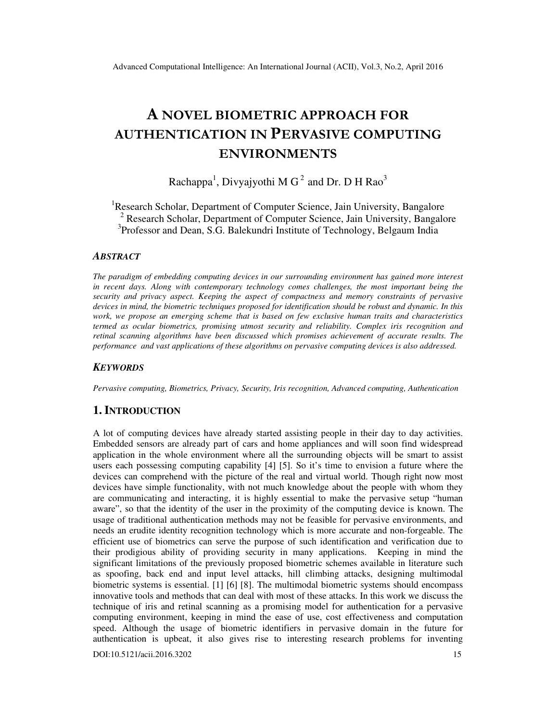# A NOVEL BIOMETRIC APPROACH FOR AUTHENTICATION IN PERVASIVE COMPUTING ENVIRONMENTS

Rachappa<sup>1</sup>, Divyajyothi M G<sup>2</sup> and Dr. D H Rao<sup>3</sup>

<sup>1</sup>Research Scholar, Department of Computer Science, Jain University, Bangalore <sup>2</sup> Research Scholar, Department of Computer Science, Jain University, Bangalore <sup>3</sup>Professor and Dean, S.G. Balekundri Institute of Technology, Belgaum India

#### *ABSTRACT*

*The paradigm of embedding computing devices in our surrounding environment has gained more interest in recent days. Along with contemporary technology comes challenges, the most important being the security and privacy aspect. Keeping the aspect of compactness and memory constraints of pervasive devices in mind, the biometric techniques proposed for identification should be robust and dynamic. In this work, we propose an emerging scheme that is based on few exclusive human traits and characteristics termed as ocular biometrics, promising utmost security and reliability. Complex iris recognition and retinal scanning algorithms have been discussed which promises achievement of accurate results. The performance and vast applications of these algorithms on pervasive computing devices is also addressed.* 

#### *KEYWORDS*

*Pervasive computing, Biometrics, Privacy, Security, Iris recognition, Advanced computing, Authentication* 

# **1. INTRODUCTION**

A lot of computing devices have already started assisting people in their day to day activities. Embedded sensors are already part of cars and home appliances and will soon find widespread application in the whole environment where all the surrounding objects will be smart to assist users each possessing computing capability [4] [5]. So it's time to envision a future where the devices can comprehend with the picture of the real and virtual world. Though right now most devices have simple functionality, with not much knowledge about the people with whom they are communicating and interacting, it is highly essential to make the pervasive setup "human aware", so that the identity of the user in the proximity of the computing device is known. The usage of traditional authentication methods may not be feasible for pervasive environments, and needs an erudite identity recognition technology which is more accurate and non-forgeable. The efficient use of biometrics can serve the purpose of such identification and verification due to their prodigious ability of providing security in many applications. Keeping in mind the significant limitations of the previously proposed biometric schemes available in literature such as spoofing, back end and input level attacks, hill climbing attacks, designing multimodal biometric systems is essential. [1] [6] [8]. The multimodal biometric systems should encompass innovative tools and methods that can deal with most of these attacks. In this work we discuss the technique of iris and retinal scanning as a promising model for authentication for a pervasive computing environment, keeping in mind the ease of use, cost effectiveness and computation speed. Although the usage of biometric identifiers in pervasive domain in the future for authentication is upbeat, it also gives rise to interesting research problems for inventing

DOI:10.5121/acii.2016.3202 15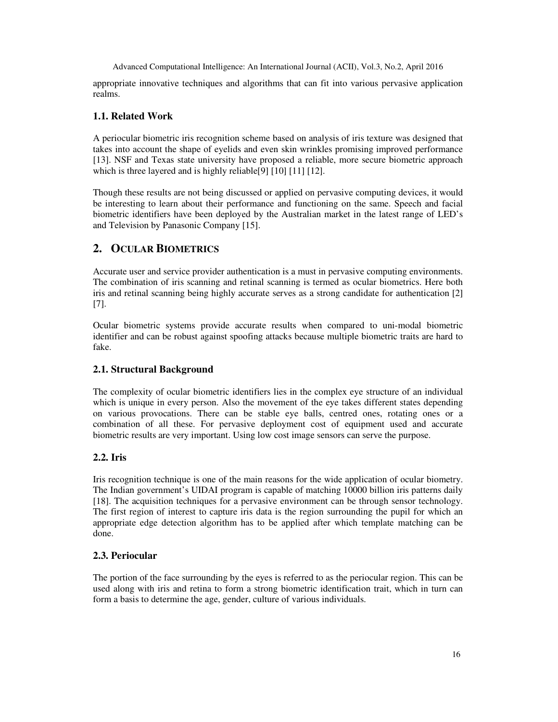appropriate innovative techniques and algorithms that can fit into various pervasive application realms.

#### **1.1. Related Work**

A periocular biometric iris recognition scheme based on analysis of iris texture was designed that takes into account the shape of eyelids and even skin wrinkles promising improved performance [13]. NSF and Texas state university have proposed a reliable, more secure biometric approach which is three layered and is highly reliable[9] [10] [11] [12].

Though these results are not being discussed or applied on pervasive computing devices, it would be interesting to learn about their performance and functioning on the same. Speech and facial biometric identifiers have been deployed by the Australian market in the latest range of LED's and Television by Panasonic Company [15].

## **2. OCULAR BIOMETRICS**

Accurate user and service provider authentication is a must in pervasive computing environments. The combination of iris scanning and retinal scanning is termed as ocular biometrics. Here both iris and retinal scanning being highly accurate serves as a strong candidate for authentication [2] [7].

Ocular biometric systems provide accurate results when compared to uni-modal biometric identifier and can be robust against spoofing attacks because multiple biometric traits are hard to fake.

#### **2.1. Structural Background**

The complexity of ocular biometric identifiers lies in the complex eye structure of an individual which is unique in every person. Also the movement of the eye takes different states depending on various provocations. There can be stable eye balls, centred ones, rotating ones or a combination of all these. For pervasive deployment cost of equipment used and accurate biometric results are very important. Using low cost image sensors can serve the purpose.

#### **2.2. Iris**

Iris recognition technique is one of the main reasons for the wide application of ocular biometry. The Indian government's UIDAI program is capable of matching 10000 billion iris patterns daily [18]. The acquisition techniques for a pervasive environment can be through sensor technology. The first region of interest to capture iris data is the region surrounding the pupil for which an appropriate edge detection algorithm has to be applied after which template matching can be done.

#### **2.3. Periocular**

The portion of the face surrounding by the eyes is referred to as the periocular region. This can be used along with iris and retina to form a strong biometric identification trait, which in turn can form a basis to determine the age, gender, culture of various individuals.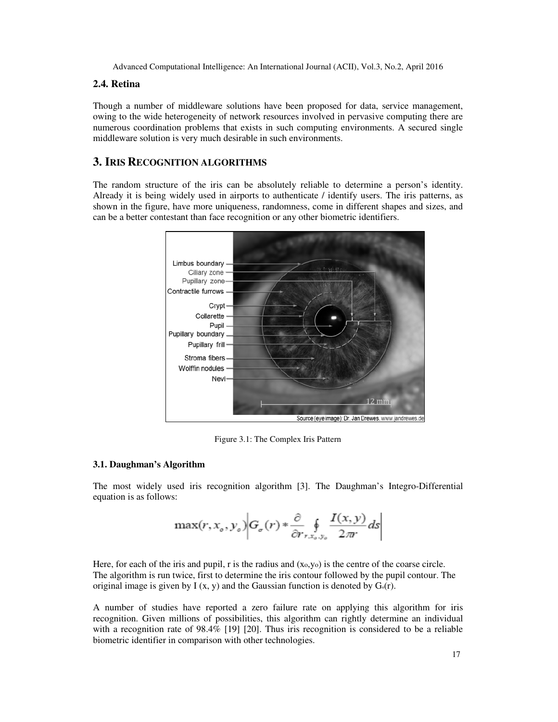#### **2.4. Retina**

Though a number of middleware solutions have been proposed for data, service management, owing to the wide heterogeneity of network resources involved in pervasive computing there are numerous coordination problems that exists in such computing environments. A secured single middleware solution is very much desirable in such environments.

### **3. IRIS RECOGNITION ALGORITHMS**

The random structure of the iris can be absolutely reliable to determine a person's identity. Already it is being widely used in airports to authenticate / identify users. The iris patterns, as shown in the figure, have more uniqueness, randomness, come in different shapes and sizes, and can be a better contestant than face recognition or any other biometric identifiers.



Figure 3.1: The Complex Iris Pattern

#### **3.1. Daughman's Algorithm**

The most widely used iris recognition algorithm [3]. The Daughman's Integro-Differential equation is as follows:

$$
\max(r, x_o, y_o) \bigg| G_{\sigma}(r) * \frac{\partial}{\partial r_{r, x_o, y_o}} \oint \frac{I(x, y)}{2\pi} ds \bigg|
$$

Here, for each of the iris and pupil, r is the radius and (xo,yo) is the centre of the coarse circle. The algorithm is run twice, first to determine the iris contour followed by the pupil contour. The original image is given by I (x, y) and the Gaussian function is denoted by  $G_0(r)$ .

A number of studies have reported a zero failure rate on applying this algorithm for iris recognition. Given millions of possibilities, this algorithm can rightly determine an individual with a recognition rate of 98.4% [19] [20]. Thus iris recognition is considered to be a reliable biometric identifier in comparison with other technologies.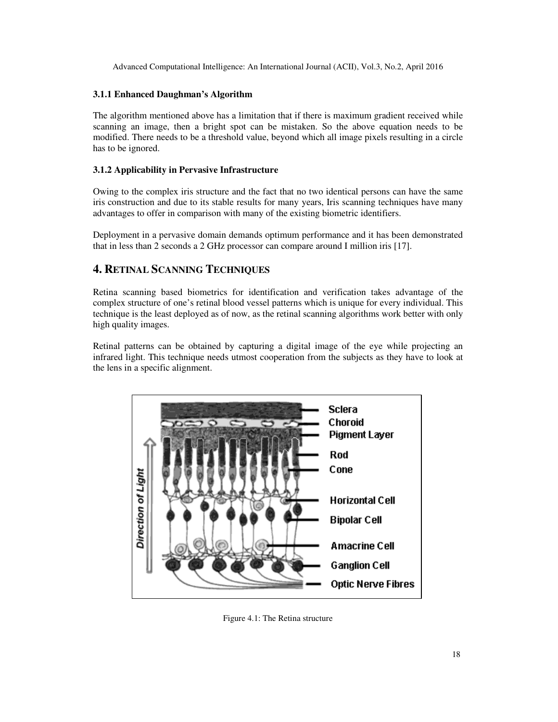#### **3.1.1 Enhanced Daughman's Algorithm**

The algorithm mentioned above has a limitation that if there is maximum gradient received while scanning an image, then a bright spot can be mistaken. So the above equation needs to be modified. There needs to be a threshold value, beyond which all image pixels resulting in a circle has to be ignored.

#### **3.1.2 Applicability in Pervasive Infrastructure**

Owing to the complex iris structure and the fact that no two identical persons can have the same iris construction and due to its stable results for many years, Iris scanning techniques have many advantages to offer in comparison with many of the existing biometric identifiers.

Deployment in a pervasive domain demands optimum performance and it has been demonstrated that in less than 2 seconds a 2 GHz processor can compare around I million iris [17].

# **4. RETINAL SCANNING TECHNIQUES**

Retina scanning based biometrics for identification and verification takes advantage of the complex structure of one's retinal blood vessel patterns which is unique for every individual. This technique is the least deployed as of now, as the retinal scanning algorithms work better with only high quality images.

Retinal patterns can be obtained by capturing a digital image of the eye while projecting an infrared light. This technique needs utmost cooperation from the subjects as they have to look at the lens in a specific alignment.



Figure 4.1: The Retina structure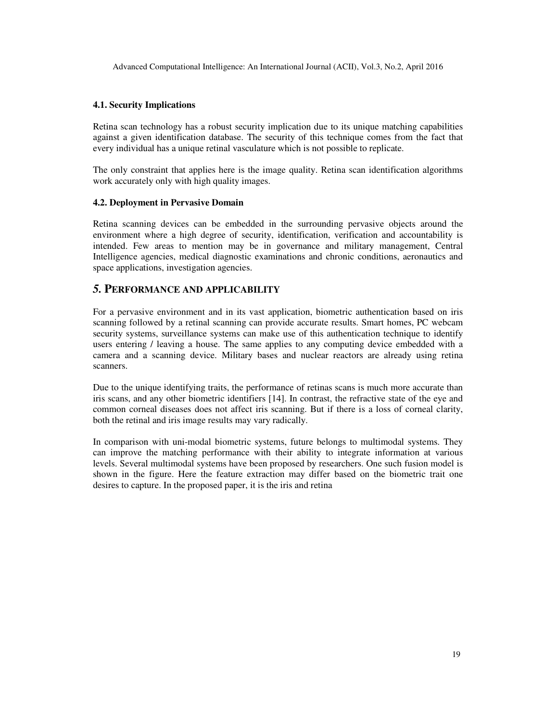#### **4.1. Security Implications**

Retina scan technology has a robust security implication due to its unique matching capabilities against a given identification database. The security of this technique comes from the fact that every individual has a unique retinal vasculature which is not possible to replicate.

The only constraint that applies here is the image quality. Retina scan identification algorithms work accurately only with high quality images.

#### **4.2. Deployment in Pervasive Domain**

Retina scanning devices can be embedded in the surrounding pervasive objects around the environment where a high degree of security, identification, verification and accountability is intended. Few areas to mention may be in governance and military management, Central Intelligence agencies, medical diagnostic examinations and chronic conditions, aeronautics and space applications, investigation agencies.

#### *5.* **PERFORMANCE AND APPLICABILITY**

For a pervasive environment and in its vast application, biometric authentication based on iris scanning followed by a retinal scanning can provide accurate results. Smart homes, PC webcam security systems, surveillance systems can make use of this authentication technique to identify users entering / leaving a house. The same applies to any computing device embedded with a camera and a scanning device. Military bases and nuclear reactors are already using retina scanners.

Due to the unique identifying traits, the performance of retinas scans is much more accurate than iris scans, and any other biometric identifiers [14]. In contrast, the refractive state of the eye and common corneal diseases does not affect iris scanning. But if there is a loss of corneal clarity, both the retinal and iris image results may vary radically.

In comparison with uni-modal biometric systems, future belongs to multimodal systems. They can improve the matching performance with their ability to integrate information at various levels. Several multimodal systems have been proposed by researchers. One such fusion model is shown in the figure. Here the feature extraction may differ based on the biometric trait one desires to capture. In the proposed paper, it is the iris and retina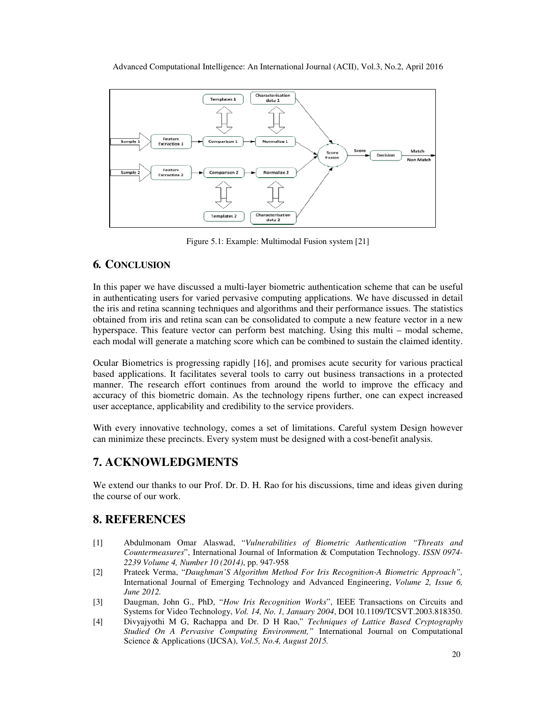

Figure 5.1: Example: Multimodal Fusion system [21]

## **6***.* **CONCLUSION**

In this paper we have discussed a multi-layer biometric authentication scheme that can be useful in authenticating users for varied pervasive computing applications. We have discussed in detail the iris and retina scanning techniques and algorithms and their performance issues. The statistics obtained from iris and retina scan can be consolidated to compute a new feature vector in a new hyperspace. This feature vector can perform best matching. Using this multi – modal scheme, each modal will generate a matching score which can be combined to sustain the claimed identity.

Ocular Biometrics is progressing rapidly [16], and promises acute security for various practical based applications. It facilitates several tools to carry out business transactions in a protected manner. The research effort continues from around the world to improve the efficacy and accuracy of this biometric domain. As the technology ripens further, one can expect increased user acceptance, applicability and credibility to the service providers.

With every innovative technology, comes a set of limitations. Careful system Design however can minimize these precincts. Every system must be designed with a cost-benefit analysis.

# **7. ACKNOWLEDGMENTS**

We extend our thanks to our Prof. Dr. D. H. Rao for his discussions, time and ideas given during the course of our work.

## **8. REFERENCES**

- [1] Abdulmonam Omar Alaswad, "*Vulnerabilities of Biometric Authentication "Threats and Countermeasures*", International Journal of Information & Computation Technology. *ISSN 0974- 2239 Volume 4, Number 10 (2014)*, pp. 947-958
- [2] Prateek Verma, "*Daughman'S Algorithm Method For Iris Recognition-A Biometric Approach",* International Journal of Emerging Technology and Advanced Engineering, *Volume 2, Issue 6, June 2012.*
- [3] Daugman, John G., PhD, "*How Iris Recognition Works*", IEEE Transactions on Circuits and Systems for Video Technology, *Vol. 14, No. 1, January 2004*, DOI 10.1109/TCSVT.2003.818350.
- [4] Divyajyothi M G, Rachappa and Dr. D H Rao," *Techniques of Lattice Based Cryptography Studied On A Pervasive Computing Environment,"* International Journal on Computational Science & Applications (IJCSA), *Vol.5, No.4, August 2015.*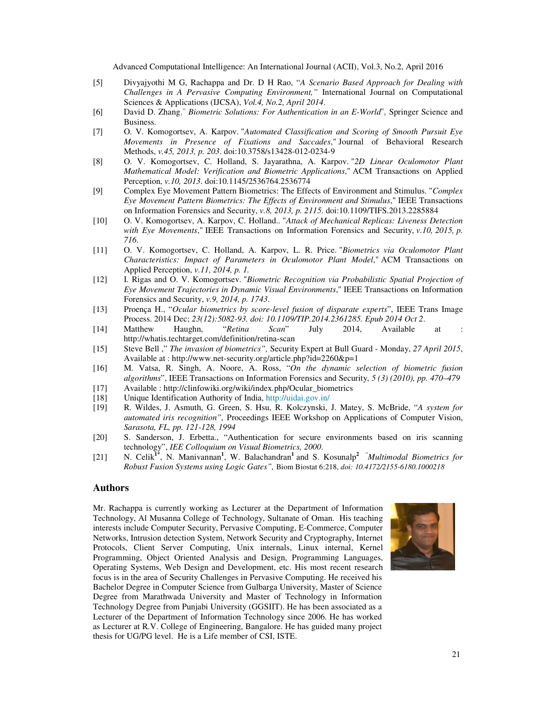- [5] Divyajyothi M G, Rachappa and Dr. D H Rao, "*A Scenario Based Approach for Dealing with Challenges in A Pervasive Computing Environment,"* International Journal on Computational Sciences & Applications (IJCSA), *Vol.4, No.2, April 2014*.
- [6] David D. Zhang," *Biometric Solutions: For Authentication in an E-World*", Springer Science and Business.
- [7] O. V. Komogortsev, A. Karpov. "*Automated Classification and Scoring of Smooth Pursuit Eye Movements in Presence of Fixations and Saccades*," Journal of Behavioral Research Methods, *v.45, 2013, p. 203*. doi:10.3758/s13428-012-0234-9
- [8] O. V. Komogortsev, C. Holland, S. Jayarathna, A. Karpov. "*2D Linear Oculomotor Plant Mathematical Model: Verification and Biometric Applications*," ACM Transactions on Applied Perception, *v.10, 2013*. doi:10.1145/2536764.2536774
- [9] Complex Eye Movement Pattern Biometrics: The Effects of Environment and Stimulus. "*Complex Eye Movement Pattern Biometrics: The Effects of Environment and Stimulus*," IEEE Transactions on Information Forensics and Security, *v.8, 2013, p. 2115*. doi:10.1109/TIFS.2013.2285884
- [10] O. V. Komogortsev, A. Karpov, C. Holland.. "*Attack of Mechanical Replicas: Liveness Detection with Eye Movements*," IEEE Transactions on Information Forensics and Security, *v.10, 2015, p. 716*.
- [11] O. V. Komogortsev, C. Holland, A. Karpov, L. R. Price. "*Biometrics via Oculomotor Plant Characteristics: Impact of Parameters in Oculomotor Plant Model*," ACM Transactions on Applied Perception, *v.11, 2014, p. 1.*
- [12] I. Rigas and O. V. Komogortsev. "*Biometric Recognition via Probabilistic Spatial Projection of Eye Movement Trajectories in Dynamic Visual Environments*," IEEE Transactions on Information Forensics and Security, *v.9, 2014, p. 1743*.
- [13] Proença H., "*Ocular biometrics by score-level fusion of disparate experts*", IEEE Trans Image Process. 2014 Dec; *23(12):5082-93. doi: 10.1109/TIP.2014.2361285. Epub 2014 Oct 2*.
- [14] Matthew Haughn, "*Retina Scan*" July 2014, Available at : http://whatis.techtarget.com/definition/retina-scan
- [15] Steve Bell ," *The invasion of biometrics",* Security Expert at Bull Guard Monday, *27 April 2015*, Available at : http://www.net-security.org/article.php?id=2260&p=1
- [16] M. Vatsa, R. Singh, A. Noore, A. Ross, "*On the dynamic selection of biometric fusion algorithms*", IEEE Transactions on Information Forensics and Security, *5 (3) (2010), pp. 470–479* [17] Available : http://clinfowiki.org/wiki/index.php/Ocular\_biometrics
- 
- [18] Unique Identification Authority of India, http://uidai.gov.in/
- [19] R. Wildes, J. Asmuth, G. Green, S. Hsu, R. Kolczynski, J. Matey, S. McBride, "*A system for automated iris recognition",* Proceedings IEEE Workshop on Applications of Computer Vision, *Sarasota, FL, pp. 121-128, 1994*
- [20] S. Sanderson, J. Erbetta., "Authentication for secure environments based on iris scanning technology", *IEE Colloquium on Visual Biometrics, 2000*.
- [21] N. Celik**1\***, N. Manivannan**<sup>1</sup>** , W. Balachandran**<sup>1</sup>** and S. Kosunalp**<sup>2</sup>** "*Multimodal Biometrics for Robust Fusion Systems using Logic Gates",* Biom Biostat 6:218, *doi: 10.4172/2155-6180.1000218*

#### **Authors**

Mr. Rachappa is currently working as Lecturer at the Department of Information Technology, Al Musanna College of Technology, Sultanate of Oman. His teaching interests include Computer Security, Pervasive Computing, E-Commerce, Computer Networks, Intrusion detection System, Network Security and Cryptography, Internet Protocols, Client Server Computing, Unix internals, Linux internal, Kernel Programming, Object Oriented Analysis and Design, Programming Languages, Operating Systems, Web Design and Development, etc. His most recent research focus is in the area of Security Challenges in Pervasive Computing. He received his Bachelor Degree in Computer Science from Gulbarga University, Master of Science Degree from Marathwada University and Master of Technology in Information Technology Degree from Punjabi University (GGSIIT). He has been associated as a Lecturer of the Department of Information Technology since 2006. He has worked as Lecturer at R.V. College of Engineering, Bangalore. He has guided many project thesis for UG/PG level. He is a Life member of CSI, ISTE.